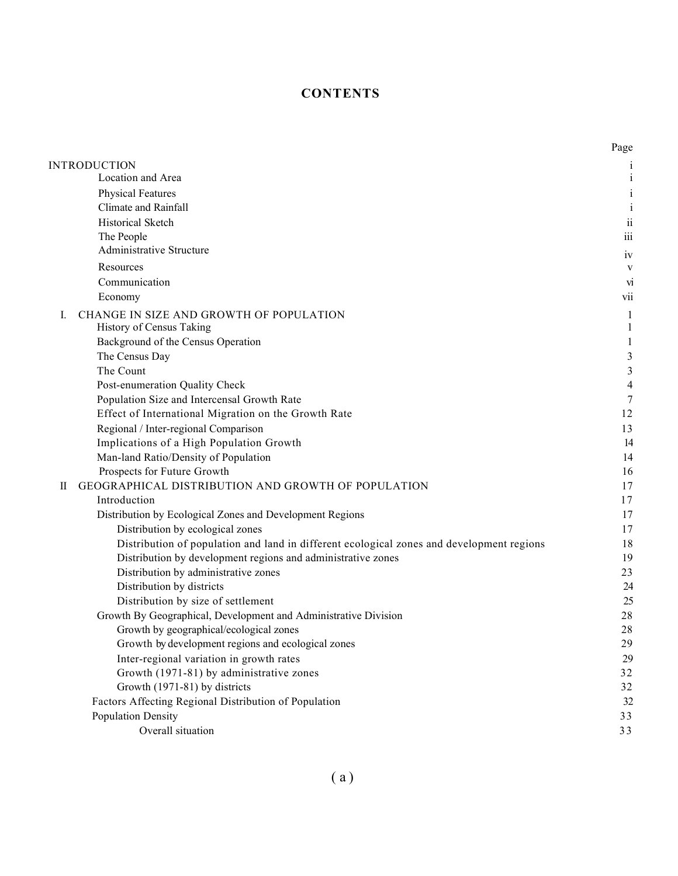## **CONTENTS**

|    |                                                                                           | Page                     |
|----|-------------------------------------------------------------------------------------------|--------------------------|
|    | INTRODUCTION                                                                              | 1                        |
|    | Location and Area                                                                         | $\mathbf{i}$             |
|    | <b>Physical Features</b>                                                                  | $\rm i$                  |
|    | Climate and Rainfall                                                                      | $\mathbf{i}$             |
|    | Historical Sketch                                                                         | $\rm ii$                 |
|    | The People                                                                                | $\overline{\text{iii}}$  |
|    | Administrative Structure                                                                  | 1V                       |
|    | Resources                                                                                 | V                        |
|    | Communication                                                                             | VI                       |
|    | Economy                                                                                   | V11                      |
| Ι. | CHANGE IN SIZE AND GROWTH OF POPULATION                                                   | 1                        |
|    | History of Census Taking                                                                  | 1                        |
|    | Background of the Census Operation                                                        | $\mathbf{1}$             |
|    | The Census Day                                                                            | $\mathfrak{Z}$           |
|    | The Count                                                                                 | $\mathfrak{Z}$           |
|    | Post-enumeration Quality Check                                                            | $\overline{\mathcal{A}}$ |
|    | Population Size and Intercensal Growth Rate                                               | 7                        |
|    | Effect of International Migration on the Growth Rate                                      | 12                       |
|    | Regional / Inter-regional Comparison                                                      | 13                       |
|    | Implications of a High Population Growth                                                  | 14                       |
|    | Man-land Ratio/Density of Population                                                      | 14                       |
|    | Prospects for Future Growth                                                               | 16                       |
| П  | GEOGRAPHICAL DISTRIBUTION AND GROWTH OF POPULATION                                        | 17                       |
|    | Introduction                                                                              | 17                       |
|    | Distribution by Ecological Zones and Development Regions                                  | 17                       |
|    | Distribution by ecological zones                                                          | 17                       |
|    | Distribution of population and land in different ecological zones and development regions | 18                       |
|    | Distribution by development regions and administrative zones                              | 19                       |
|    | Distribution by administrative zones                                                      | 23                       |
|    | Distribution by districts                                                                 | 24                       |
|    | Distribution by size of settlement                                                        | 25                       |
|    | Growth By Geographical, Development and Administrative Division                           | 28                       |
|    | Growth by geographical/ecological zones                                                   | 28                       |
|    | Growth by development regions and ecological zones                                        | 29                       |
|    | Inter-regional variation in growth rates                                                  | 29                       |
|    | Growth (1971-81) by administrative zones                                                  | 32                       |
|    | Growth (1971-81) by districts                                                             | 32                       |
|    | Factors Affecting Regional Distribution of Population                                     | 32                       |
|    | <b>Population Density</b>                                                                 | 33                       |
|    | Overall situation                                                                         | 33                       |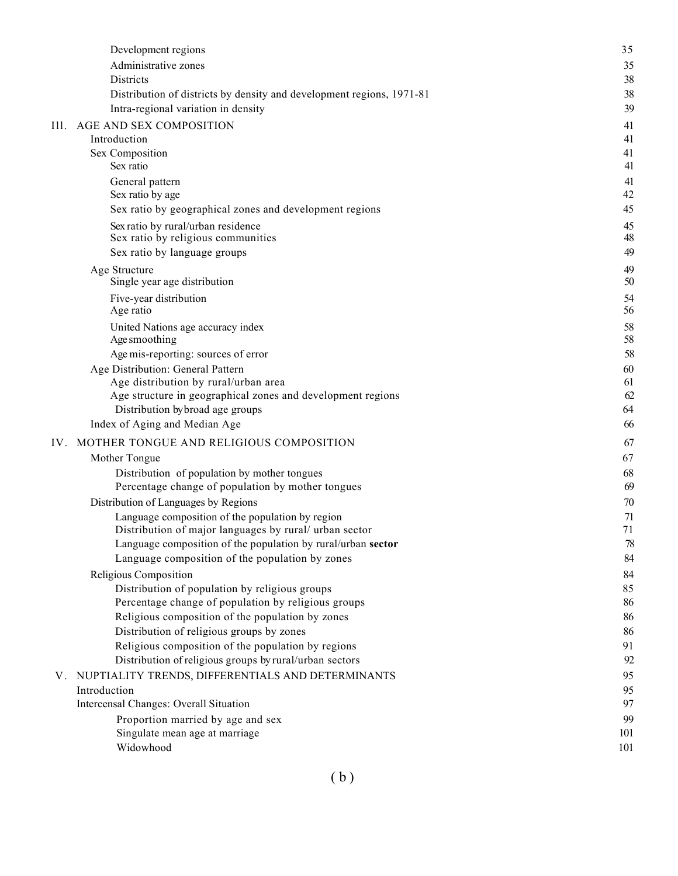|      | Development regions                                                                               | 35       |
|------|---------------------------------------------------------------------------------------------------|----------|
|      | Administrative zones                                                                              | 35       |
|      | Districts                                                                                         | 38       |
|      | Distribution of districts by density and development regions, 1971-81                             | 38       |
|      | Intra-regional variation in density                                                               | 39       |
| Ill. | AGE AND SEX COMPOSITION                                                                           | 41       |
|      | Introduction                                                                                      | 41       |
|      | Sex Composition                                                                                   | 41       |
|      | Sex ratio                                                                                         | 41       |
|      | General pattern                                                                                   | 41       |
|      | Sex ratio by age                                                                                  | 42       |
|      | Sex ratio by geographical zones and development regions                                           | 45       |
|      | Sex ratio by rural/urban residence                                                                | 45<br>48 |
|      | Sex ratio by religious communities<br>Sex ratio by language groups                                | 49       |
|      |                                                                                                   |          |
|      | Age Structure<br>Single year age distribution                                                     | 49<br>50 |
|      | Five-year distribution                                                                            | 54       |
|      | Age ratio                                                                                         | 56       |
|      | United Nations age accuracy index                                                                 | 58       |
|      | Age smoothing                                                                                     | 58       |
|      | Age mis-reporting: sources of error                                                               | 58       |
|      | Age Distribution: General Pattern                                                                 | 60       |
|      | Age distribution by rural/urban area                                                              | 61       |
|      | Age structure in geographical zones and development regions                                       | 62       |
|      | Distribution by broad age groups<br>Index of Aging and Median Age                                 | 64<br>66 |
|      |                                                                                                   |          |
| IV.  | MOTHER TONGUE AND RELIGIOUS COMPOSITION                                                           | 67       |
|      | Mother Tongue                                                                                     | 67       |
|      | Distribution of population by mother tongues<br>Percentage change of population by mother tongues | 68<br>69 |
|      | Distribution of Languages by Regions                                                              | 70       |
|      | Language composition of the population by region                                                  | 71       |
|      | Distribution of major languages by rural/ urban sector                                            | 71       |
|      | Language composition of the population by rural/urban sector                                      | 78       |
|      | Language composition of the population by zones                                                   | 84       |
|      | Religious Composition                                                                             | 84       |
|      | Distribution of population by religious groups                                                    | 85       |
|      | Percentage change of population by religious groups                                               | 86       |
|      | Religious composition of the population by zones                                                  | 86       |
|      | Distribution of religious groups by zones                                                         | 86       |
|      | Religious composition of the population by regions                                                | 91       |
|      | Distribution of religious groups by rural/urban sectors                                           | 92       |
| V.   | NUPTIALITY TRENDS, DIFFERENTIALS AND DETERMINANTS                                                 | 95       |
|      | Introduction                                                                                      | 95       |
|      | Intercensal Changes: Overall Situation                                                            | 97       |
|      | Proportion married by age and sex                                                                 | 99       |
|      | Singulate mean age at marriage                                                                    | 101      |
|      | Widowhood                                                                                         | 101      |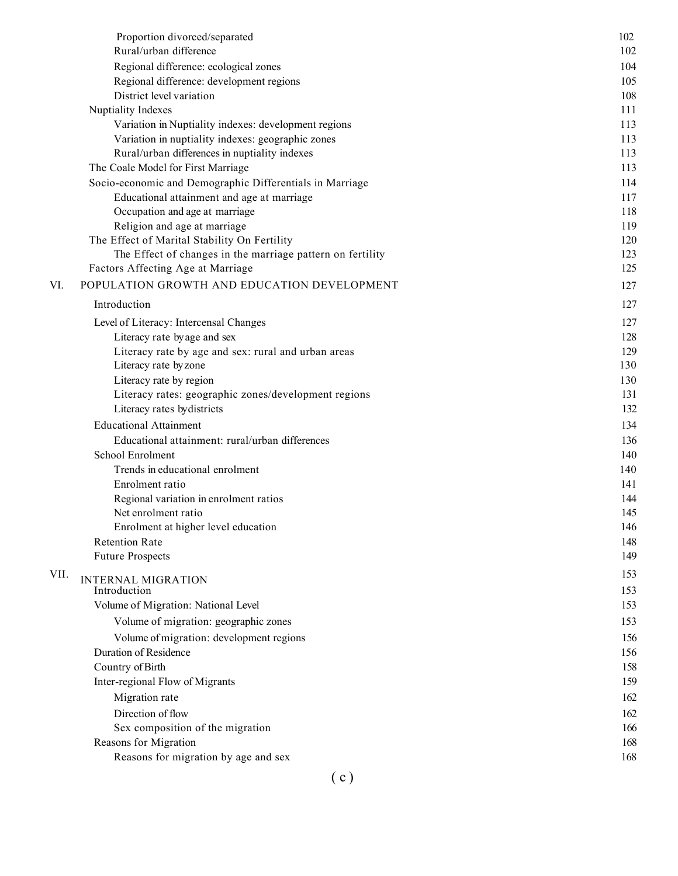|      | Proportion divorced/separated                              | 102 |
|------|------------------------------------------------------------|-----|
|      | Rural/urban difference                                     | 102 |
|      | Regional difference: ecological zones                      | 104 |
|      | Regional difference: development regions                   | 105 |
|      | District level variation                                   | 108 |
|      | Nuptiality Indexes                                         | 111 |
|      | Variation in Nuptiality indexes: development regions       | 113 |
|      | Variation in nuptiality indexes: geographic zones          | 113 |
|      | Rural/urban differences in nuptiality indexes              | 113 |
|      | The Coale Model for First Marriage                         | 113 |
|      | Socio-economic and Demographic Differentials in Marriage   | 114 |
|      | Educational attainment and age at marriage                 | 117 |
|      | Occupation and age at marriage                             | 118 |
|      | Religion and age at marriage                               | 119 |
|      | The Effect of Marital Stability On Fertility               | 120 |
|      | The Effect of changes in the marriage pattern on fertility | 123 |
|      | Factors Affecting Age at Marriage                          | 125 |
| VI.  | POPULATION GROWTH AND EDUCATION DEVELOPMENT                | 127 |
|      | Introduction                                               | 127 |
|      | Level of Literacy: Intercensal Changes                     | 127 |
|      | Literacy rate by age and sex                               | 128 |
|      | Literacy rate by age and sex: rural and urban areas        | 129 |
|      | Literacy rate by zone                                      | 130 |
|      | Literacy rate by region                                    | 130 |
|      | Literacy rates: geographic zones/development regions       | 131 |
|      | Literacy rates by districts                                | 132 |
|      | <b>Educational Attainment</b>                              | 134 |
|      | Educational attainment: rural/urban differences            | 136 |
|      | School Enrolment                                           | 140 |
|      | Trends in educational enrolment                            | 140 |
|      | Enrolment ratio                                            | 141 |
|      | Regional variation in enrolment ratios                     | 144 |
|      | Net enrolment ratio                                        | 145 |
|      | Enrolment at higher level education                        | 146 |
|      | <b>Retention Rate</b>                                      | 148 |
|      | <b>Future Prospects</b>                                    | 149 |
| VII. |                                                            | 153 |
|      | <b>INTERNAL MIGRATION</b><br>Introduction                  | 153 |
|      | Volume of Migration: National Level                        | 153 |
|      | Volume of migration: geographic zones                      | 153 |
|      | Volume of migration: development regions                   | 156 |
|      | Duration of Residence                                      | 156 |
|      | Country of Birth                                           | 158 |
|      | Inter-regional Flow of Migrants                            | 159 |
|      | Migration rate                                             | 162 |
|      | Direction of flow                                          | 162 |
|      | Sex composition of the migration                           | 166 |
|      | Reasons for Migration                                      | 168 |
|      | Reasons for migration by age and sex                       | 168 |
|      |                                                            |     |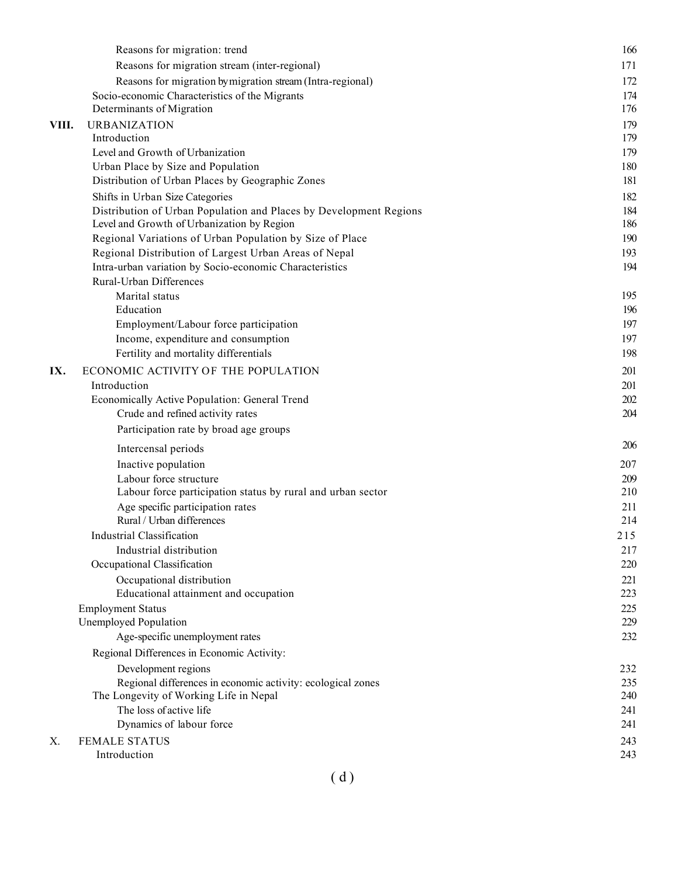|       | Reasons for migration: trend                                                                                     | 166        |
|-------|------------------------------------------------------------------------------------------------------------------|------------|
|       | Reasons for migration stream (inter-regional)                                                                    | 171        |
|       | Reasons for migration by migration stream (Intra-regional)                                                       | 172        |
|       | Socio-economic Characteristics of the Migrants                                                                   | 174        |
|       | Determinants of Migration                                                                                        | 176        |
| VIII. | <b>URBANIZATION</b>                                                                                              | 179        |
|       | Introduction                                                                                                     | 179        |
|       | Level and Growth of Urbanization                                                                                 | 179        |
|       | Urban Place by Size and Population                                                                               | 180        |
|       | Distribution of Urban Places by Geographic Zones                                                                 | 181        |
|       | Shifts in Urban Size Categories                                                                                  | 182        |
|       | Distribution of Urban Population and Places by Development Regions<br>Level and Growth of Urbanization by Region | 184<br>186 |
|       | Regional Variations of Urban Population by Size of Place                                                         | 190        |
|       | Regional Distribution of Largest Urban Areas of Nepal                                                            | 193        |
|       | Intra-urban variation by Socio-economic Characteristics                                                          | 194        |
|       | Rural-Urban Differences                                                                                          |            |
|       | Marital status                                                                                                   | 195        |
|       | Education                                                                                                        | 196        |
|       | Employment/Labour force participation                                                                            | 197        |
|       | Income, expenditure and consumption                                                                              | 197        |
|       | Fertility and mortality differentials                                                                            | 198        |
| IX.   | ECONOMIC ACTIVITY OF THE POPULATION                                                                              | 201        |
|       | Introduction                                                                                                     | 201        |
|       | Economically Active Population: General Trend                                                                    | 202        |
|       | Crude and refined activity rates                                                                                 | 204        |
|       | Participation rate by broad age groups                                                                           |            |
|       | Intercensal periods                                                                                              | 206        |
|       | Inactive population                                                                                              | 207        |
|       | Labour force structure                                                                                           | 209        |
|       | Labour force participation status by rural and urban sector                                                      | 210        |
|       | Age specific participation rates                                                                                 | 211        |
|       | Rural / Urban differences                                                                                        | 214        |
|       | Industrial Classification                                                                                        | 215        |
|       | Industrial distribution<br>Occupational Classification                                                           | 217<br>220 |
|       | Occupational distribution                                                                                        | 221        |
|       | Educational attainment and occupation                                                                            | 223        |
|       | <b>Employment Status</b>                                                                                         | 225        |
|       | Unemployed Population                                                                                            | 229        |
|       | Age-specific unemployment rates                                                                                  | 232        |
|       | Regional Differences in Economic Activity:                                                                       |            |
|       | Development regions                                                                                              | 232        |
|       | Regional differences in economic activity: ecological zones                                                      | 235        |
|       | The Longevity of Working Life in Nepal                                                                           | 240        |
|       | The loss of active life                                                                                          | 241        |
|       | Dynamics of labour force                                                                                         | 241        |
| Χ.    | <b>FEMALE STATUS</b>                                                                                             | 243        |
|       | Introduction                                                                                                     | 243        |
|       |                                                                                                                  |            |

 $(d)$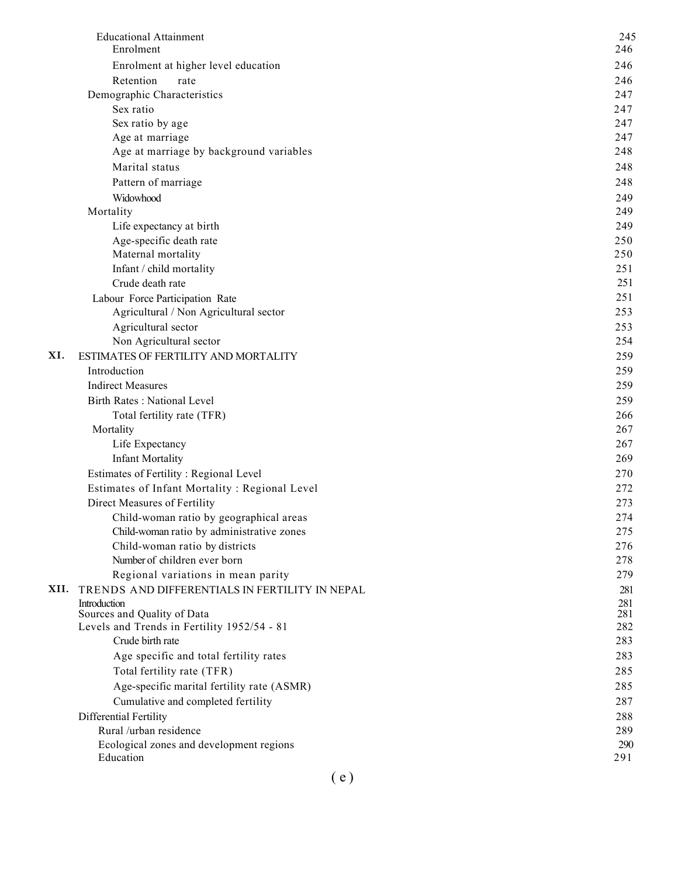|      | <b>Educational Attainment</b><br>Enrolment       | 245<br>246 |
|------|--------------------------------------------------|------------|
|      |                                                  | 246        |
|      | Enrolment at higher level education<br>Retention |            |
|      | rate<br>Demographic Characteristics              | 246<br>247 |
|      | Sex ratio                                        | 247        |
|      | Sex ratio by age                                 | 247        |
|      | Age at marriage                                  | 247        |
|      | Age at marriage by background variables          | 248        |
|      | Marital status                                   | 248        |
|      | Pattern of marriage                              | 248        |
|      | Widowhood                                        | 249        |
|      | Mortality                                        | 249        |
|      | Life expectancy at birth                         | 249        |
|      | Age-specific death rate                          | 250        |
|      | Maternal mortality                               | 250        |
|      | Infant / child mortality                         | 251        |
|      | Crude death rate                                 | 251        |
|      | Labour Force Participation Rate                  | 251        |
|      | Agricultural / Non Agricultural sector           | 253        |
|      | Agricultural sector                              | 253        |
|      | Non Agricultural sector                          | 254        |
| XI.  | ESTIMATES OF FERTILITY AND MORTALITY             | 259        |
|      | Introduction                                     | 259        |
|      | <b>Indirect Measures</b>                         | 259        |
|      | <b>Birth Rates: National Level</b>               | 259        |
|      | Total fertility rate (TFR)                       | 266        |
|      | Mortality                                        | 267        |
|      | Life Expectancy                                  | 267        |
|      | <b>Infant Mortality</b>                          | 269        |
|      | Estimates of Fertility : Regional Level          | 270        |
|      | Estimates of Infant Mortality : Regional Level   | 272        |
|      | Direct Measures of Fertility                     | 273        |
|      | Child-woman ratio by geographical areas          | 274        |
|      | Child-woman ratio by administrative zones        | 275        |
|      | Child-woman ratio by districts                   | 276        |
|      | Number of children ever born                     | 278        |
|      | Regional variations in mean parity               | 279        |
| XII. | TRENDS AND DIFFERENTIALS IN FERTILITY IN NEPAL   | 281        |
|      | Introduction<br>Sources and Quality of Data      | 281<br>281 |
|      | Levels and Trends in Fertility 1952/54 - 81      | 282        |
|      | Crude birth rate                                 | 283        |
|      | Age specific and total fertility rates           | 283        |
|      | Total fertility rate (TFR)                       | 285        |
|      | Age-specific marital fertility rate (ASMR)       | 285        |
|      | Cumulative and completed fertility               | 287        |
|      | Differential Fertility                           | 288        |
|      | Rural /urban residence                           | 289        |
|      | Ecological zones and development regions         | 290        |
|      | Education                                        | 291        |
|      |                                                  |            |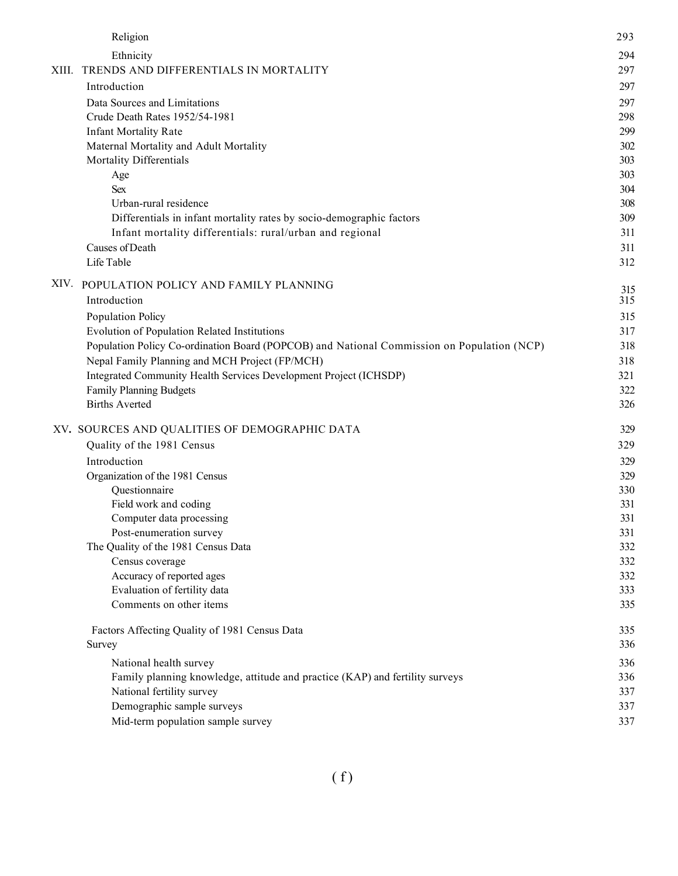|       | Religion                                                                                   | 293        |
|-------|--------------------------------------------------------------------------------------------|------------|
|       | Ethnicity                                                                                  | 294        |
| XIII. | TRENDS AND DIFFERENTIALS IN MORTALITY                                                      | 297        |
|       | Introduction                                                                               | 297        |
|       | Data Sources and Limitations                                                               | 297        |
|       | Crude Death Rates 1952/54-1981                                                             | 298        |
|       | <b>Infant Mortality Rate</b>                                                               | 299        |
|       | Maternal Mortality and Adult Mortality                                                     | 302        |
|       | Mortality Differentials                                                                    | 303        |
|       | Age                                                                                        | 303        |
|       | <b>Sex</b>                                                                                 | 304        |
|       | Urban-rural residence                                                                      | 308        |
|       | Differentials in infant mortality rates by socio-demographic factors                       | 309        |
|       | Infant mortality differentials: rural/urban and regional                                   | 311        |
|       | Causes of Death                                                                            | 311        |
|       | Life Table                                                                                 | 312        |
| XIV.  | POPULATION POLICY AND FAMILY PLANNING                                                      |            |
|       | Introduction                                                                               | 315<br>315 |
|       | Population Policy                                                                          | 315        |
|       | Evolution of Population Related Institutions                                               | 317        |
|       | Population Policy Co-ordination Board (POPCOB) and National Commission on Population (NCP) | 318        |
|       | Nepal Family Planning and MCH Project (FP/MCH)                                             | 318        |
|       | Integrated Community Health Services Development Project (ICHSDP)                          | 321        |
|       | <b>Family Planning Budgets</b>                                                             | 322        |
|       | <b>Births Averted</b>                                                                      | 326        |
|       | XV. SOURCES AND QUALITIES OF DEMOGRAPHIC DATA                                              | 329        |
|       | Quality of the 1981 Census                                                                 | 329        |
|       | Introduction                                                                               | 329        |
|       | Organization of the 1981 Census                                                            | 329        |
|       | Questionnaire                                                                              | 330        |
|       | Field work and coding                                                                      | 331        |
|       | Computer data processing                                                                   | 331        |
|       | Post-enumeration survey                                                                    | 331        |
|       | The Quality of the 1981 Census Data                                                        | 332        |
|       | Census coverage                                                                            | 332        |
|       | Accuracy of reported ages                                                                  | 332        |
|       | Evaluation of fertility data                                                               | 333        |
|       | Comments on other items                                                                    | 335        |
|       | Factors Affecting Quality of 1981 Census Data                                              | 335        |
|       | Survey                                                                                     | 336        |
|       | National health survey                                                                     | 336        |
|       | Family planning knowledge, attitude and practice (KAP) and fertility surveys               | 336        |
|       | National fertility survey                                                                  | 337        |
|       | Demographic sample surveys                                                                 | 337        |
|       | Mid-term population sample survey                                                          | 337        |
|       |                                                                                            |            |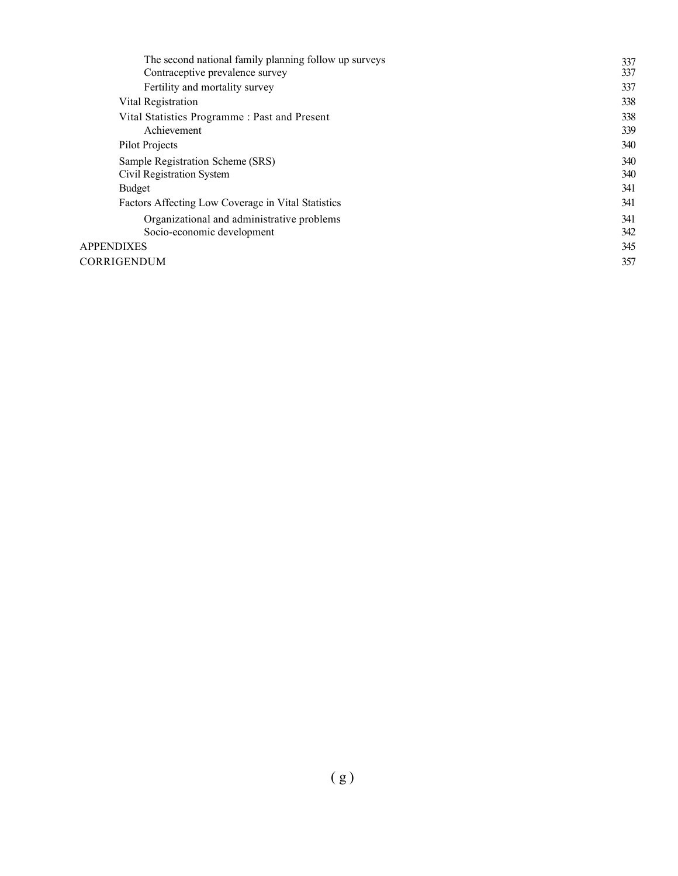| The second national family planning follow up surveys | 337 |
|-------------------------------------------------------|-----|
| Contraceptive prevalence survey                       | 337 |
| Fertility and mortality survey                        | 337 |
| Vital Registration                                    | 338 |
| Vital Statistics Programme: Past and Present          | 338 |
| Achievement                                           | 339 |
| Pilot Projects                                        | 340 |
| Sample Registration Scheme (SRS)                      | 340 |
| Civil Registration System                             | 340 |
| Budget                                                | 341 |
| Factors Affecting Low Coverage in Vital Statistics    | 341 |
| Organizational and administrative problems            | 341 |
| Socio-economic development                            | 342 |
| <b>APPENDIXES</b>                                     | 345 |
| CORRIGENDUM                                           | 357 |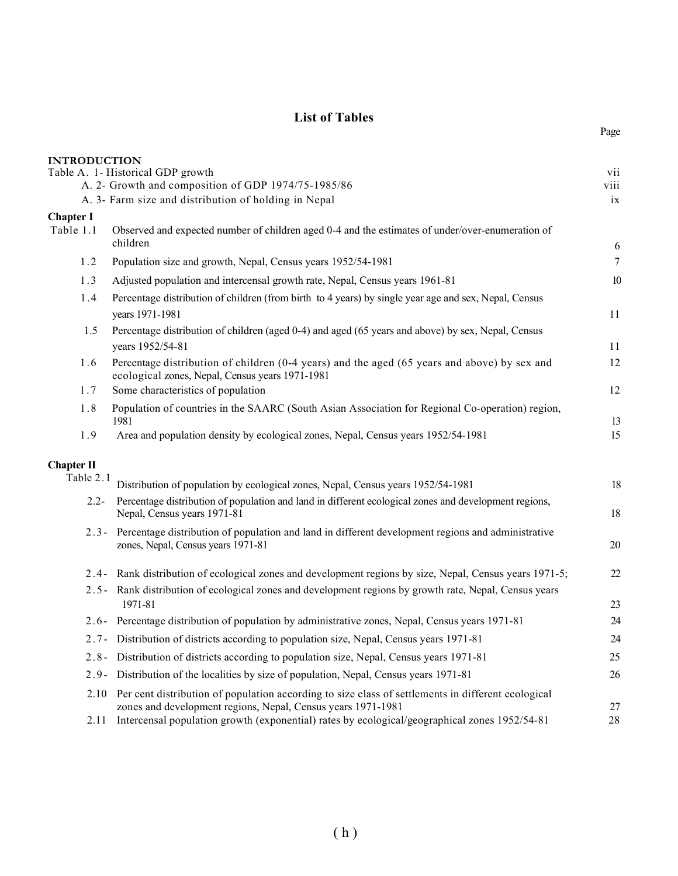## List of Tables

Page

| <b>INTRODUCTION</b> |                                                                                                                                                                    |                 |
|---------------------|--------------------------------------------------------------------------------------------------------------------------------------------------------------------|-----------------|
|                     | Table A. 1- Historical GDP growth<br>A. 2- Growth and composition of GDP 1974/75-1985/86                                                                           | vii<br>viii     |
|                     | A. 3- Farm size and distribution of holding in Nepal                                                                                                               | ix              |
| <b>Chapter I</b>    |                                                                                                                                                                    |                 |
| Table 1.1           | Observed and expected number of children aged 0-4 and the estimates of under/over-enumeration of<br>children                                                       | $\sqrt{6}$      |
| 1.2                 | Population size and growth, Nepal, Census years 1952/54-1981                                                                                                       | $7\overline{ }$ |
| 1.3                 | Adjusted population and intercensal growth rate, Nepal, Census years 1961-81                                                                                       | $10\,$          |
| 1.4                 | Percentage distribution of children (from birth to 4 years) by single year age and sex, Nepal, Census<br>years 1971-1981                                           | 11              |
| 1.5                 | Percentage distribution of children (aged 0-4) and aged (65 years and above) by sex, Nepal, Census<br>years 1952/54-81                                             | 11              |
| 1.6                 | Percentage distribution of children (0-4 years) and the aged (65 years and above) by sex and<br>ecological zones, Nepal, Census years 1971-1981                    | 12              |
| 1.7                 | Some characteristics of population                                                                                                                                 | 12              |
| 1.8                 | Population of countries in the SAARC (South Asian Association for Regional Co-operation) region,<br>1981                                                           | 13              |
| 1.9                 | Area and population density by ecological zones, Nepal, Census years 1952/54-1981                                                                                  | 15              |
| <b>Chapter II</b>   |                                                                                                                                                                    |                 |
| Table 2.1           | Distribution of population by ecological zones, Nepal, Census years 1952/54-1981                                                                                   | 18              |
| $2.2 -$             | Percentage distribution of population and land in different ecological zones and development regions,<br>Nepal, Census years 1971-81                               | 18              |
| $2.3 -$             | Percentage distribution of population and land in different development regions and administrative<br>zones, Nepal, Census years 1971-81                           | 20              |
| $2.4 -$             | Rank distribution of ecological zones and development regions by size, Nepal, Census years 1971-5;                                                                 | 22              |
|                     | 2.5- Rank distribution of ecological zones and development regions by growth rate, Nepal, Census years<br>1971-81                                                  | 23              |
|                     | 2.6- Percentage distribution of population by administrative zones, Nepal, Census years 1971-81                                                                    | 24              |
|                     | 2.7- Distribution of districts according to population size, Nepal, Census years 1971-81                                                                           | 24              |
|                     | 2.8- Distribution of districts according to population size, Nepal, Census years 1971-81                                                                           | 25              |
| $2.9 -$             | Distribution of the localities by size of population, Nepal, Census years 1971-81                                                                                  | 26              |
| 2.10                | Per cent distribution of population according to size class of settlements in different ecological<br>zones and development regions, Nepal, Census years 1971-1981 | 27              |
|                     | 2.11 Intercensal population growth (exponential) rates by ecological/geographical zones 1952/54-81                                                                 | 28              |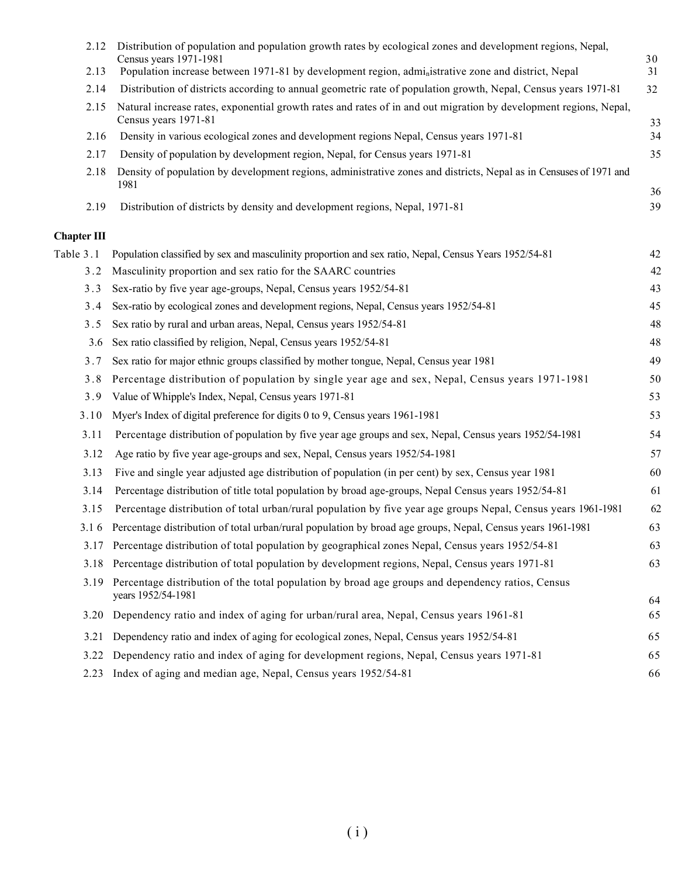| 2.12               | Distribution of population and population growth rates by ecological zones and development regions, Nepal,<br>Census years 1971-1981      | 30       |
|--------------------|-------------------------------------------------------------------------------------------------------------------------------------------|----------|
| 2.13               | Population increase between 1971-81 by development region, administrative zone and district, Nepal                                        | 31       |
| 2.14               | Distribution of districts according to annual geometric rate of population growth, Nepal, Census years 1971-81                            | 32       |
| 2.15               | Natural increase rates, exponential growth rates and rates of in and out migration by development regions, Nepal,<br>Census years 1971-81 | 33       |
| 2.16               | Density in various ecological zones and development regions Nepal, Census years 1971-81                                                   | 34       |
| 2.17               | Density of population by development region, Nepal, for Census years 1971-81                                                              | 35       |
| 2.18               | Density of population by development regions, administrative zones and districts, Nepal as in Censuses of 1971 and<br>1981                |          |
| 2.19               | Distribution of districts by density and development regions, Nepal, 1971-81                                                              | 36<br>39 |
| <b>Chapter III</b> |                                                                                                                                           |          |
| Table 3.1          | Population classified by sex and masculinity proportion and sex ratio, Nepal, Census Years 1952/54-81                                     | 42       |
| 3.2                | Masculinity proportion and sex ratio for the SAARC countries                                                                              | 42       |
| 3.3                | Sex-ratio by five year age-groups, Nepal, Census years 1952/54-81                                                                         | 43       |
| 3.4                | Sex-ratio by ecological zones and development regions, Nepal, Census years 1952/54-81                                                     | 45       |
| 3.5                | Sex ratio by rural and urban areas, Nepal, Census years 1952/54-81                                                                        | 48       |
| 3.6                | Sex ratio classified by religion, Nepal, Census years 1952/54-81                                                                          | 48       |
| 3.7                | Sex ratio for major ethnic groups classified by mother tongue, Nepal, Census year 1981                                                    | 49       |
| 3.8                | Percentage distribution of population by single year age and sex, Nepal, Census years 1971-1981                                           | 50       |
| 3.9                | Value of Whipple's Index, Nepal, Census years 1971-81                                                                                     | 53       |
| 3.10               | Myer's Index of digital preference for digits 0 to 9, Census years 1961-1981                                                              | 53       |
| 3.11               | Percentage distribution of population by five year age groups and sex, Nepal, Census years 1952/54-1981                                   | 54       |
| 3.12               | Age ratio by five year age-groups and sex, Nepal, Census years 1952/54-1981                                                               | 57       |
| 3.13               | Five and single year adjusted age distribution of population (in per cent) by sex, Census year 1981                                       | 60       |
| 3.14               | Percentage distribution of title total population by broad age-groups, Nepal Census years 1952/54-81                                      | 61       |
| 3.15               | Percentage distribution of total urban/rural population by five year age groups Nepal, Census years 1961-1981                             | 62       |
|                    | 3.1 6 Percentage distribution of total urban/rural population by broad age groups, Nepal, Census years 1961-1981                          | 63       |
|                    | 3.17 Percentage distribution of total population by geographical zones Nepal, Census years 1952/54-81                                     | 63       |
| 3.18               | Percentage distribution of total population by development regions, Nepal, Census years 1971-81                                           | 63       |
|                    | 3.19 Percentage distribution of the total population by broad age groups and dependency ratios, Census<br>years 1952/54-1981              | 64       |
| 3.20               | Dependency ratio and index of aging for urban/rural area, Nepal, Census years 1961-81                                                     | 65       |
| 3.21               | Dependency ratio and index of aging for ecological zones, Nepal, Census years 1952/54-81                                                  | 65       |
| 3.22               | Dependency ratio and index of aging for development regions, Nepal, Census years 1971-81                                                  | 65       |
| 2.23               | Index of aging and median age, Nepal, Census years 1952/54-81                                                                             | 66       |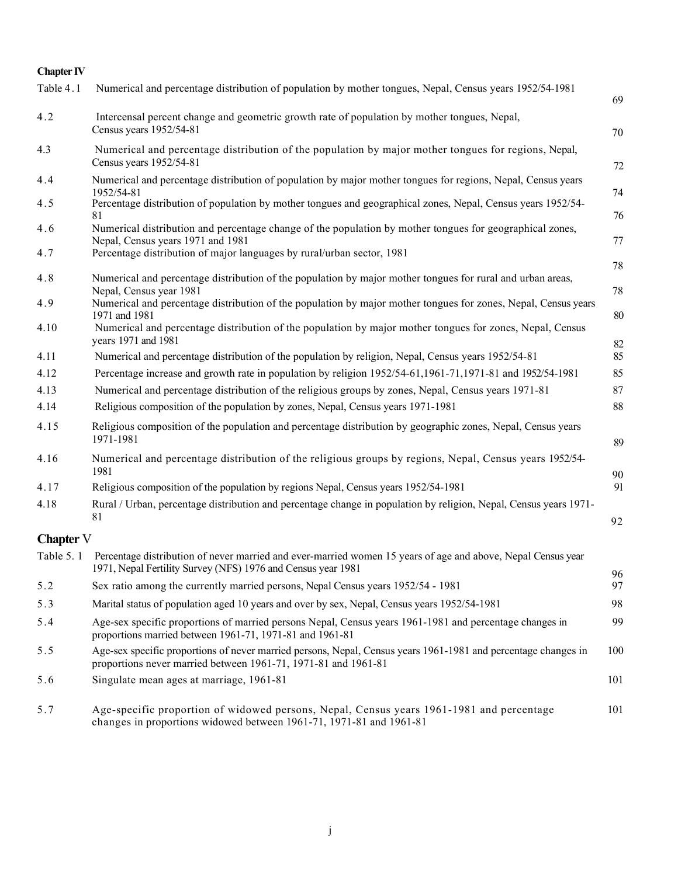## Chapter IV

| Table 4.1        | Numerical and percentage distribution of population by mother tongues, Nepal, Census years 1952/54-1981                                                                          | 69       |
|------------------|----------------------------------------------------------------------------------------------------------------------------------------------------------------------------------|----------|
| 4.2              | Intercensal percent change and geometric growth rate of population by mother tongues, Nepal,<br>Census years 1952/54-81                                                          | 70       |
| 4.3              | Numerical and percentage distribution of the population by major mother tongues for regions, Nepal,<br>Census years 1952/54-81                                                   | 72       |
| 4.4              | Numerical and percentage distribution of population by major mother tongues for regions, Nepal, Census years<br>1952/54-81                                                       | 74       |
| 4.5              | Percentage distribution of population by mother tongues and geographical zones, Nepal, Census years 1952/54-<br>81                                                               | 76       |
| 4.6              | Numerical distribution and percentage change of the population by mother tongues for geographical zones,<br>Nepal, Census years 1971 and 1981                                    | 77       |
| 4.7              | Percentage distribution of major languages by rural/urban sector, 1981                                                                                                           | 78       |
| 4.8              | Numerical and percentage distribution of the population by major mother tongues for rural and urban areas,<br>Nepal, Census year 1981                                            | 78       |
| 4.9              | Numerical and percentage distribution of the population by major mother tongues for zones, Nepal, Census years<br>1971 and 1981                                                  | 80       |
| 4.10             | Numerical and percentage distribution of the population by major mother tongues for zones, Nepal, Census<br>years 1971 and 1981                                                  | 82       |
| 4.11             | Numerical and percentage distribution of the population by religion, Nepal, Census years 1952/54-81                                                                              | 85       |
| 4.12             | Percentage increase and growth rate in population by religion 1952/54-61,1961-71,1971-81 and 1952/54-1981                                                                        | 85       |
| 4.13             | Numerical and percentage distribution of the religious groups by zones, Nepal, Census years 1971-81                                                                              | 87       |
| 4.14             | Religious composition of the population by zones, Nepal, Census years 1971-1981                                                                                                  | 88       |
| 4.15             | Religious composition of the population and percentage distribution by geographic zones, Nepal, Census years<br>1971-1981                                                        | 89       |
| 4.16             | Numerical and percentage distribution of the religious groups by regions, Nepal, Census years 1952/54-<br>1981                                                                   | 90       |
| 4.17             | Religious composition of the population by regions Nepal, Census years 1952/54-1981                                                                                              | 91       |
| 4.18             | Rural / Urban, percentage distribution and percentage change in population by religion, Nepal, Census years 1971-<br>81                                                          | 92       |
| <b>Chapter</b> V |                                                                                                                                                                                  |          |
| Table 5.1        | Percentage distribution of never married and ever-married women 15 years of age and above, Nepal Census year<br>1971, Nepal Fertility Survey (NFS) 1976 and Census year 1981     |          |
| 5.2              | Sex ratio among the currently married persons, Nepal Census years 1952/54 - 1981                                                                                                 | 96<br>97 |
| 5.3              | Marital status of population aged 10 years and over by sex, Nepal, Census years 1952/54-1981                                                                                     | 98       |
| 5.4              | Age-sex specific proportions of married persons Nepal, Census years 1961-1981 and percentage changes in<br>proportions married between 1961-71, 1971-81 and 1961-81              | 99       |
| 5.5              | Age-sex specific proportions of never married persons, Nepal, Census years 1961-1981 and percentage changes in<br>proportions never married between 1961-71, 1971-81 and 1961-81 | 100      |
| 5.6              | Singulate mean ages at marriage, 1961-81                                                                                                                                         | 101      |
| 5.7              | Age-specific proportion of widowed persons, Nepal, Census years 1961-1981 and percentage                                                                                         | 101      |

changes in proportions widowed between 1961-71, 1971-81 and 1961-81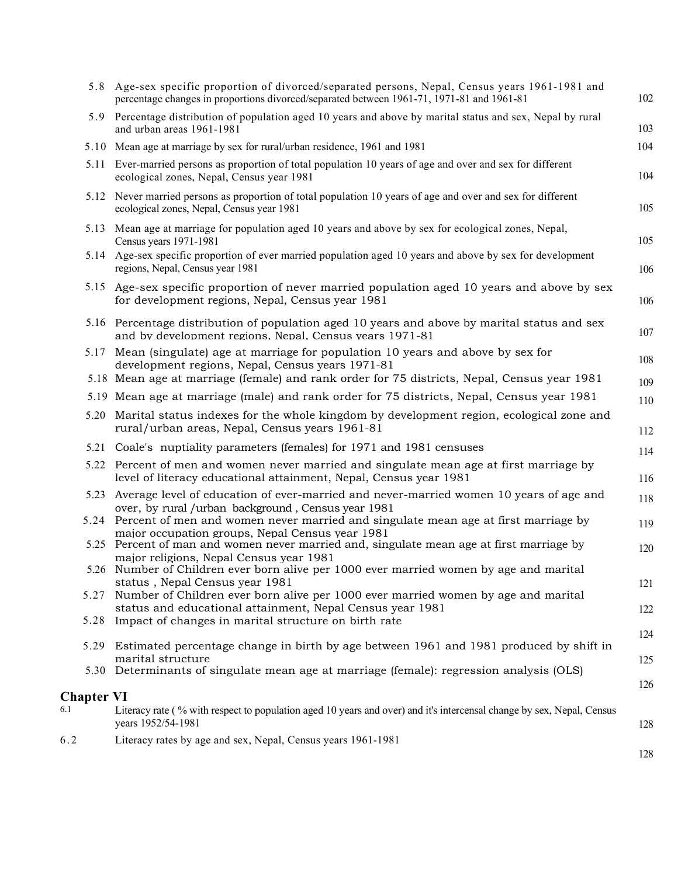|                   | 5.8 Age-sex specific proportion of divorced/separated persons, Nepal, Census years 1961-1981 and<br>percentage changes in proportions divorced/separated between 1961-71, 1971-81 and 1961-81                 | 102        |
|-------------------|---------------------------------------------------------------------------------------------------------------------------------------------------------------------------------------------------------------|------------|
|                   | 5.9 Percentage distribution of population aged 10 years and above by marital status and sex, Nepal by rural<br>and urban areas 1961-1981                                                                      | 103        |
|                   | 5.10 Mean age at marriage by sex for rural/urban residence, 1961 and 1981                                                                                                                                     | 104        |
|                   | 5.11 Ever-married persons as proportion of total population 10 years of age and over and sex for different<br>ecological zones, Nepal, Census year 1981                                                       | 104        |
|                   | 5.12 Never married persons as proportion of total population 10 years of age and over and sex for different<br>ecological zones, Nepal, Census year 1981                                                      | 105        |
|                   | 5.13 Mean age at marriage for population aged 10 years and above by sex for ecological zones, Nepal,<br>Census years 1971-1981                                                                                | 105        |
|                   | 5.14 Age-sex specific proportion of ever married population aged 10 years and above by sex for development<br>regions, Nepal, Census year 1981                                                                | 106        |
|                   | 5.15 Age-sex specific proportion of never married population aged 10 years and above by sex<br>for development regions, Nepal, Census year 1981                                                               | 106        |
|                   | 5.16 Percentage distribution of population aged 10 years and above by marital status and sex<br>and by development regions. Nepal. Census vears 1971-81                                                       | 107        |
| 5.17              | Mean (singulate) age at marriage for population 10 years and above by sex for<br>development regions, Nepal, Census years 1971-81                                                                             | 108        |
|                   | 5.18 Mean age at marriage (female) and rank order for 75 districts, Nepal, Census year 1981                                                                                                                   | 109        |
|                   | 5.19 Mean age at marriage (male) and rank order for 75 districts, Nepal, Census year 1981                                                                                                                     | 110        |
|                   | 5.20 Marital status indexes for the whole kingdom by development region, ecological zone and<br>rural/urban areas, Nepal, Census years 1961-81                                                                | 112        |
|                   | 5.21 Coale's nuptiality parameters (females) for 1971 and 1981 censuses                                                                                                                                       | 114        |
|                   | 5.22 Percent of men and women never married and singulate mean age at first marriage by<br>level of literacy educational attainment, Nepal, Census year 1981                                                  | 116        |
|                   | 5.23 Average level of education of ever-married and never-married women 10 years of age and<br>over, by rural /urban background, Census year 1981                                                             | 118        |
|                   | 5.24 Percent of men and women never married and singulate mean age at first marriage by<br>major occupation groups, Nepal Census year 1981                                                                    | 119        |
|                   | 5.25 Percent of man and women never married and, singulate mean age at first marriage by<br>major religions, Nepal Census year 1981                                                                           | 120        |
| 5.27              | 5.26 Number of Children ever born alive per 1000 ever married women by age and marital<br>status, Nepal Census year 1981<br>Number of Children ever born alive per 1000 ever married women by age and marital | 121        |
|                   | status and educational attainment, Nepal Census year 1981<br>5.28 Impact of changes in marital structure on birth rate                                                                                        | 122        |
|                   | 5.29 Estimated percentage change in birth by age between 1961 and 1981 produced by shift in                                                                                                                   | 124        |
|                   | marital structure<br>5.30 Determinants of singulate mean age at marriage (female): regression analysis (OLS)                                                                                                  | 125<br>126 |
| <b>Chapter VI</b> |                                                                                                                                                                                                               |            |
| 6.1               | Literacy rate (% with respect to population aged 10 years and over) and it's intercensal change by sex, Nepal, Census<br>years 1952/54-1981                                                                   | 128        |
| 6.2               | Literacy rates by age and sex, Nepal, Census years 1961-1981                                                                                                                                                  | 128        |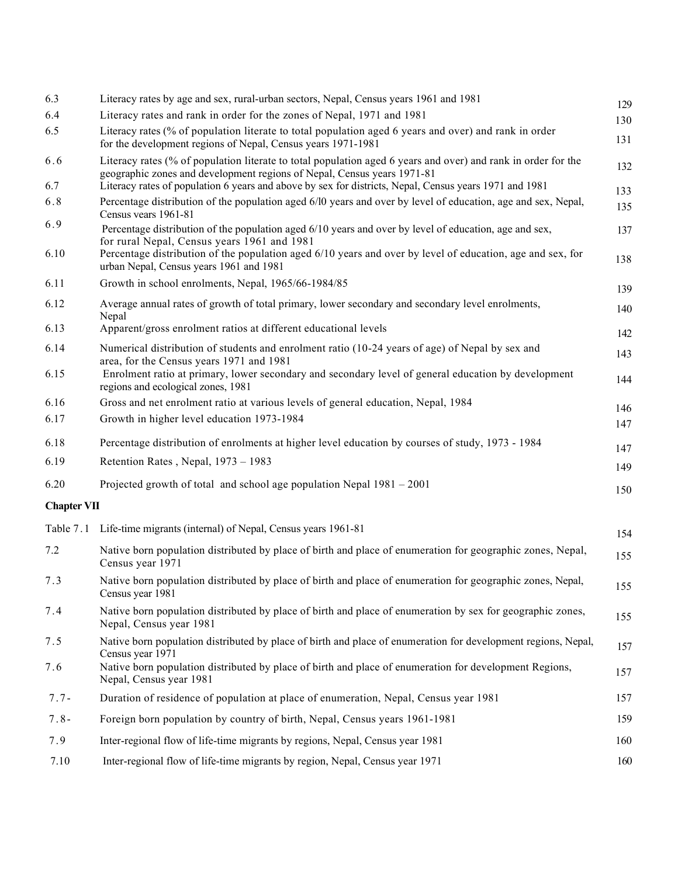| 6.3                | Literacy rates by age and sex, rural-urban sectors, Nepal, Census years 1961 and 1981                                                                                                                                                                               | 129        |
|--------------------|---------------------------------------------------------------------------------------------------------------------------------------------------------------------------------------------------------------------------------------------------------------------|------------|
| 6.4                | Literacy rates and rank in order for the zones of Nepal, 1971 and 1981                                                                                                                                                                                              | 130        |
| 6.5                | Literacy rates (% of population literate to total population aged 6 years and over) and rank in order<br>for the development regions of Nepal, Census years 1971-1981                                                                                               | 131        |
| 6.6                | Literacy rates (% of population literate to total population aged 6 years and over) and rank in order for the<br>geographic zones and development regions of Nepal, Census years 1971-81                                                                            | 132        |
| 6.7                | Literacy rates of population 6 years and above by sex for districts, Nepal, Census years 1971 and 1981                                                                                                                                                              | 133        |
| 6.8                | Percentage distribution of the population aged 6/10 years and over by level of education, age and sex, Nepal,<br>Census years 1961-81                                                                                                                               | 135        |
| 6.9<br>6.10        | Percentage distribution of the population aged 6/10 years and over by level of education, age and sex,<br>for rural Nepal, Census years 1961 and 1981<br>Percentage distribution of the population aged 6/10 years and over by level of education, age and sex, for | 137<br>138 |
| 6.11               | urban Nepal, Census years 1961 and 1981<br>Growth in school enrolments, Nepal, 1965/66-1984/85                                                                                                                                                                      | 139        |
| 6.12               | Average annual rates of growth of total primary, lower secondary and secondary level enrolments,                                                                                                                                                                    | 140        |
| 6.13               | Nepal<br>Apparent/gross enrolment ratios at different educational levels                                                                                                                                                                                            | 142        |
| 6.14               | Numerical distribution of students and enrolment ratio (10-24 years of age) of Nepal by sex and                                                                                                                                                                     | 143        |
| 6.15               | area, for the Census years 1971 and 1981<br>Enrolment ratio at primary, lower secondary and secondary level of general education by development<br>regions and ecological zones, 1981                                                                               | 144        |
| 6.16               | Gross and net enrolment ratio at various levels of general education, Nepal, 1984                                                                                                                                                                                   | 146        |
| 6.17               | Growth in higher level education 1973-1984                                                                                                                                                                                                                          | 147        |
| 6.18               | Percentage distribution of enrolments at higher level education by courses of study, 1973 - 1984                                                                                                                                                                    | 147        |
| 6.19               | Retention Rates, Nepal, 1973 - 1983                                                                                                                                                                                                                                 | 149        |
| 6.20               | Projected growth of total and school age population Nepal $1981 - 2001$                                                                                                                                                                                             | 150        |
| <b>Chapter VII</b> |                                                                                                                                                                                                                                                                     |            |
|                    | Table 7.1 Life-time migrants (internal) of Nepal, Census years 1961-81                                                                                                                                                                                              | 154        |
| 7.2                | Native born population distributed by place of birth and place of enumeration for geographic zones, Nepal,<br>Census year 1971                                                                                                                                      | 155        |
| 7.3                | Native born population distributed by place of birth and place of enumeration for geographic zones, Nepal,<br>Census year 1981                                                                                                                                      | 155        |
| 7.4                | Native born population distributed by place of birth and place of enumeration by sex for geographic zones,<br>Nepal, Census year 1981                                                                                                                               | 155        |
| 7.5                | Native born population distributed by place of birth and place of enumeration for development regions, Nepal,<br>Census year 1971                                                                                                                                   | 157        |
| 7.6                | Native born population distributed by place of birth and place of enumeration for development Regions,<br>Nepal, Census year 1981                                                                                                                                   | 157        |
| $7.7 -$            | Duration of residence of population at place of enumeration, Nepal, Census year 1981                                                                                                                                                                                | 157        |
| $7.8 -$            | Foreign born population by country of birth, Nepal, Census years 1961-1981                                                                                                                                                                                          | 159        |
| 7.9                | Inter-regional flow of life-time migrants by regions, Nepal, Census year 1981                                                                                                                                                                                       | 160        |
| 7.10               | Inter-regional flow of life-time migrants by region, Nepal, Census year 1971                                                                                                                                                                                        | 160        |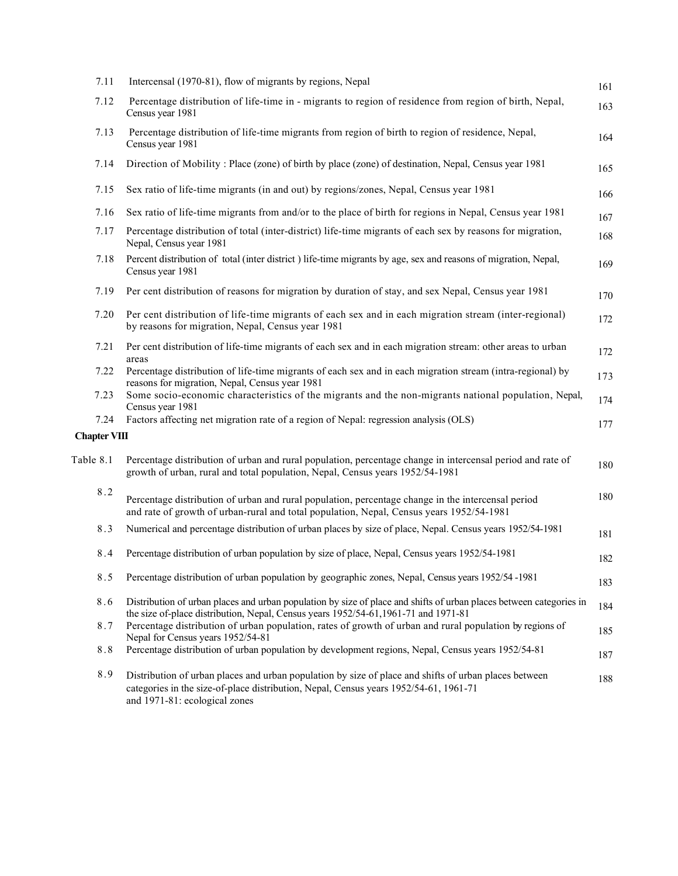| 7.11                | Intercensal (1970-81), flow of migrants by regions, Nepal                                                                                                                                                                       | 161 |
|---------------------|---------------------------------------------------------------------------------------------------------------------------------------------------------------------------------------------------------------------------------|-----|
| 7.12                | Percentage distribution of life-time in - migrants to region of residence from region of birth, Nepal,<br>Census year 1981                                                                                                      | 163 |
| 7.13                | Percentage distribution of life-time migrants from region of birth to region of residence, Nepal,<br>Census year 1981                                                                                                           | 164 |
| 7.14                | Direction of Mobility: Place (zone) of birth by place (zone) of destination, Nepal, Census year 1981                                                                                                                            | 165 |
| 7.15                | Sex ratio of life-time migrants (in and out) by regions/zones, Nepal, Census year 1981                                                                                                                                          | 166 |
| 7.16                | Sex ratio of life-time migrants from and/or to the place of birth for regions in Nepal, Census year 1981                                                                                                                        | 167 |
| 7.17                | Percentage distribution of total (inter-district) life-time migrants of each sex by reasons for migration,<br>Nepal, Census year 1981                                                                                           | 168 |
| 7.18                | Percent distribution of total (inter district ) life-time migrants by age, sex and reasons of migration, Nepal,<br>Census year 1981                                                                                             | 169 |
| 7.19                | Per cent distribution of reasons for migration by duration of stay, and sex Nepal, Census year 1981                                                                                                                             | 170 |
| 7.20                | Per cent distribution of life-time migrants of each sex and in each migration stream (inter-regional)<br>by reasons for migration, Nepal, Census year 1981                                                                      | 172 |
| 7.21                | Per cent distribution of life-time migrants of each sex and in each migration stream: other areas to urban<br>areas                                                                                                             | 172 |
| 7.22                | Percentage distribution of life-time migrants of each sex and in each migration stream (intra-regional) by<br>reasons for migration, Nepal, Census year 1981                                                                    | 173 |
| 7.23                | Some socio-economic characteristics of the migrants and the non-migrants national population, Nepal,<br>Census year 1981                                                                                                        | 174 |
| 7.24                | Factors affecting net migration rate of a region of Nepal: regression analysis (OLS)                                                                                                                                            | 177 |
| <b>Chapter VIII</b> |                                                                                                                                                                                                                                 |     |
| Table 8.1           | Percentage distribution of urban and rural population, percentage change in intercensal period and rate of<br>growth of urban, rural and total population, Nepal, Census years 1952/54-1981                                     | 180 |
| 8.2                 | Percentage distribution of urban and rural population, percentage change in the intercensal period<br>and rate of growth of urban-rural and total population, Nepal, Census years 1952/54-1981                                  | 180 |
| 8.3                 | Numerical and percentage distribution of urban places by size of place, Nepal. Census years 1952/54-1981                                                                                                                        | 181 |
| 8.4                 | Percentage distribution of urban population by size of place, Nepal, Census years 1952/54-1981                                                                                                                                  | 182 |
| 8.5                 | Percentage distribution of urban population by geographic zones, Nepal, Census years 1952/54 -1981                                                                                                                              | 183 |
| 8.6                 | Distribution of urban places and urban population by size of place and shifts of urban places between categories in<br>the size of-place distribution, Nepal, Census years 1952/54-61,1961-71 and 1971-81                       | 184 |
| 8.7                 | Percentage distribution of urban population, rates of growth of urban and rural population by regions of<br>Nepal for Census years 1952/54-81                                                                                   | 185 |
| $8.8\,$             | Percentage distribution of urban population by development regions, Nepal, Census years 1952/54-81                                                                                                                              | 187 |
| 8.9                 | Distribution of urban places and urban population by size of place and shifts of urban places between<br>categories in the size-of-place distribution, Nepal, Census years 1952/54-61, 1961-71<br>and 1971-81: ecological zones | 188 |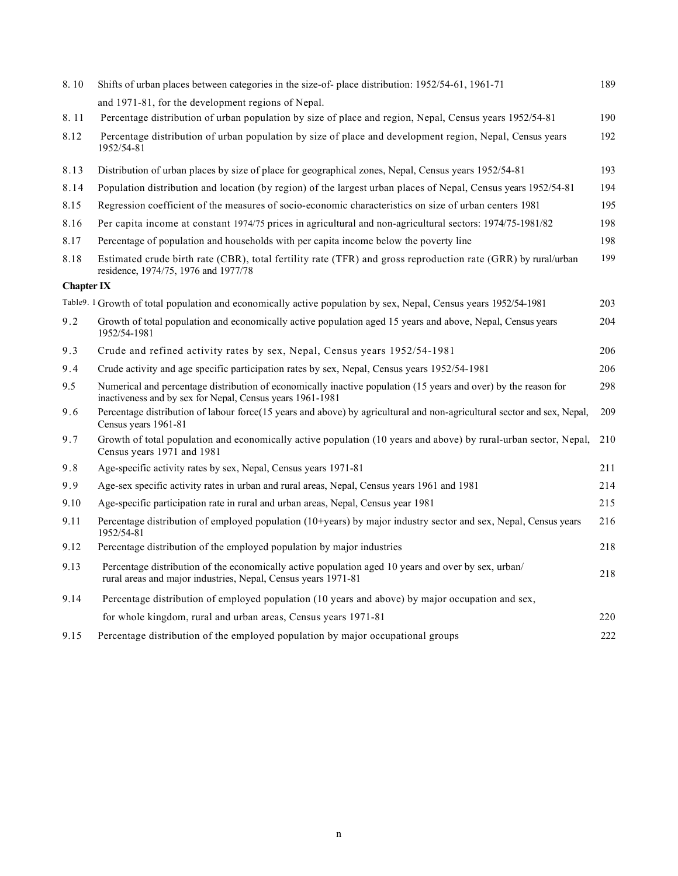| 8.10              | Shifts of urban places between categories in the size-of- place distribution: 1952/54-61, 1961-71                                                                            | 189 |
|-------------------|------------------------------------------------------------------------------------------------------------------------------------------------------------------------------|-----|
|                   | and 1971-81, for the development regions of Nepal.                                                                                                                           |     |
| 8.11              | Percentage distribution of urban population by size of place and region, Nepal, Census years 1952/54-81                                                                      | 190 |
| 8.12              | Percentage distribution of urban population by size of place and development region, Nepal, Census years<br>1952/54-81                                                       | 192 |
| 8.13              | Distribution of urban places by size of place for geographical zones, Nepal, Census years 1952/54-81                                                                         | 193 |
| 8.14              | Population distribution and location (by region) of the largest urban places of Nepal, Census years 1952/54-81                                                               | 194 |
| 8.15              | Regression coefficient of the measures of socio-economic characteristics on size of urban centers 1981                                                                       | 195 |
| 8.16              | Per capita income at constant 1974/75 prices in agricultural and non-agricultural sectors: 1974/75-1981/82                                                                   | 198 |
| 8.17              | Percentage of population and households with per capita income below the poverty line                                                                                        | 198 |
| 8.18              | Estimated crude birth rate (CBR), total fertility rate (TFR) and gross reproduction rate (GRR) by rural/urban<br>residence, 1974/75, 1976 and 1977/78                        | 199 |
| <b>Chapter IX</b> |                                                                                                                                                                              |     |
|                   | Table9. 1 Growth of total population and economically active population by sex, Nepal, Census years 1952/54-1981                                                             | 203 |
| 9.2               | Growth of total population and economically active population aged 15 years and above, Nepal, Census years<br>1952/54-1981                                                   | 204 |
| 9.3               | Crude and refined activity rates by sex, Nepal, Census years 1952/54-1981                                                                                                    | 206 |
| 9.4               | Crude activity and age specific participation rates by sex, Nepal, Census years 1952/54-1981                                                                                 | 206 |
| 9.5               | Numerical and percentage distribution of economically inactive population (15 years and over) by the reason for<br>inactiveness and by sex for Nepal, Census years 1961-1981 | 298 |
| 9.6               | Percentage distribution of labour force(15 years and above) by agricultural and non-agricultural sector and sex, Nepal,<br>Census years 1961-81                              | 209 |
| 9.7               | Growth of total population and economically active population (10 years and above) by rural-urban sector, Nepal,<br>Census years 1971 and 1981                               | 210 |
| 9.8               | Age-specific activity rates by sex, Nepal, Census years 1971-81                                                                                                              | 211 |
| 9.9               | Age-sex specific activity rates in urban and rural areas, Nepal, Census years 1961 and 1981                                                                                  | 214 |
| 9.10              | Age-specific participation rate in rural and urban areas, Nepal, Census year 1981                                                                                            | 215 |
| 9.11              | Percentage distribution of employed population (10+years) by major industry sector and sex, Nepal, Census years<br>1952/54-81                                                | 216 |
| 9.12              | Percentage distribution of the employed population by major industries                                                                                                       | 218 |
| 9.13              | Percentage distribution of the economically active population aged 10 years and over by sex, urban/<br>rural areas and major industries, Nepal, Census years 1971-81         | 218 |
| 9.14              | Percentage distribution of employed population (10 years and above) by major occupation and sex,                                                                             |     |
|                   | for whole kingdom, rural and urban areas, Census years 1971-81                                                                                                               | 220 |
| 9.15              | Percentage distribution of the employed population by major occupational groups                                                                                              | 222 |
|                   |                                                                                                                                                                              |     |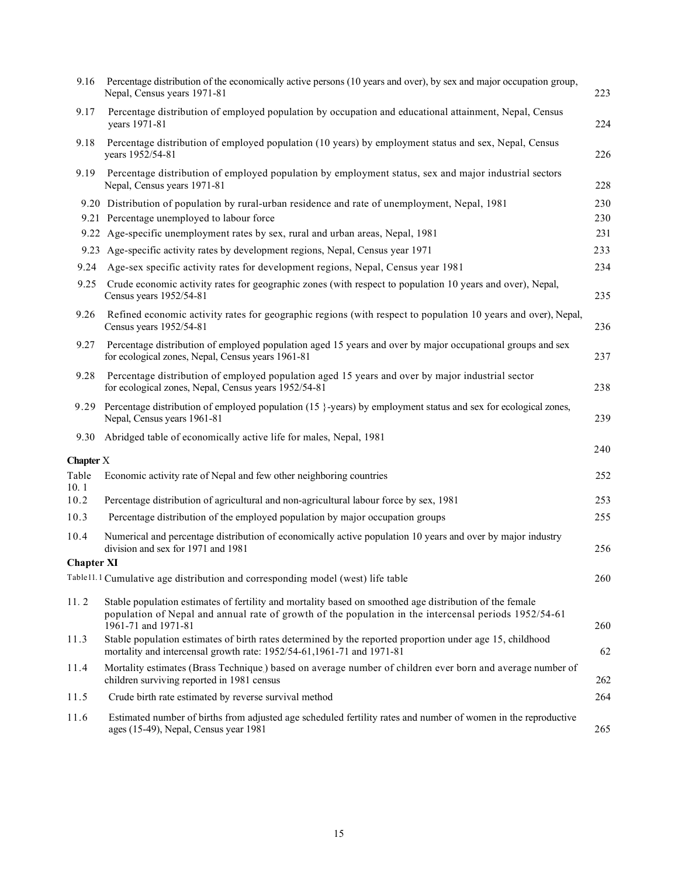| 9.16              | Percentage distribution of the economically active persons (10 years and over), by sex and major occupation group,<br>Nepal, Census years 1971-81                                                                                       | 223 |
|-------------------|-----------------------------------------------------------------------------------------------------------------------------------------------------------------------------------------------------------------------------------------|-----|
| 9.17              | Percentage distribution of employed population by occupation and educational attainment, Nepal, Census<br>years 1971-81                                                                                                                 | 224 |
| 9.18              | Percentage distribution of employed population (10 years) by employment status and sex, Nepal, Census<br>years 1952/54-81                                                                                                               | 226 |
| 9.19              | Percentage distribution of employed population by employment status, sex and major industrial sectors<br>Nepal, Census years 1971-81                                                                                                    | 228 |
|                   | 9.20 Distribution of population by rural-urban residence and rate of unemployment, Nepal, 1981                                                                                                                                          | 230 |
|                   | 9.21 Percentage unemployed to labour force                                                                                                                                                                                              | 230 |
|                   | 9.22 Age-specific unemployment rates by sex, rural and urban areas, Nepal, 1981                                                                                                                                                         | 231 |
|                   | 9.23 Age-specific activity rates by development regions, Nepal, Census year 1971                                                                                                                                                        | 233 |
| 9.24              | Age-sex specific activity rates for development regions, Nepal, Census year 1981                                                                                                                                                        | 234 |
| 9.25              | Crude economic activity rates for geographic zones (with respect to population 10 years and over), Nepal,<br>Census years 1952/54-81                                                                                                    | 235 |
| 9.26              | Refined economic activity rates for geographic regions (with respect to population 10 years and over), Nepal,<br>Census years 1952/54-81                                                                                                | 236 |
| 9.27              | Percentage distribution of employed population aged 15 years and over by major occupational groups and sex<br>for ecological zones, Nepal, Census years 1961-81                                                                         | 237 |
| 9.28              | Percentage distribution of employed population aged 15 years and over by major industrial sector<br>for ecological zones, Nepal, Census years 1952/54-81                                                                                | 238 |
|                   | 9.29 Percentage distribution of employed population (15 }-years) by employment status and sex for ecological zones,<br>Nepal, Census years 1961-81                                                                                      | 239 |
| 9.30              | Abridged table of economically active life for males, Nepal, 1981                                                                                                                                                                       |     |
| <b>Chapter X</b>  |                                                                                                                                                                                                                                         | 240 |
|                   |                                                                                                                                                                                                                                         |     |
| Table             | Economic activity rate of Nepal and few other neighboring countries                                                                                                                                                                     | 252 |
| 10.1<br>10.2      |                                                                                                                                                                                                                                         | 253 |
| 10.3              | Percentage distribution of agricultural and non-agricultural labour force by sex, 1981<br>Percentage distribution of the employed population by major occupation groups                                                                 | 255 |
| 10.4              | Numerical and percentage distribution of economically active population 10 years and over by major industry<br>division and sex for 1971 and 1981                                                                                       | 256 |
| <b>Chapter XI</b> |                                                                                                                                                                                                                                         |     |
|                   | Table11.1 Cumulative age distribution and corresponding model (west) life table                                                                                                                                                         | 260 |
| 11.2              | Stable population estimates of fertility and mortality based on smoothed age distribution of the female<br>population of Nepal and annual rate of growth of the population in the intercensal periods 1952/54-61<br>1961-71 and 1971-81 | 260 |
| 11.3              | Stable population estimates of birth rates determined by the reported proportion under age 15, childhood<br>mortality and intercensal growth rate: 1952/54-61,1961-71 and 1971-81                                                       | 62  |
| 11.4              | Mortality estimates (Brass Technique) based on average number of children ever born and average number of<br>children surviving reported in 1981 census                                                                                 | 262 |
| 11.5              | Crude birth rate estimated by reverse survival method                                                                                                                                                                                   | 264 |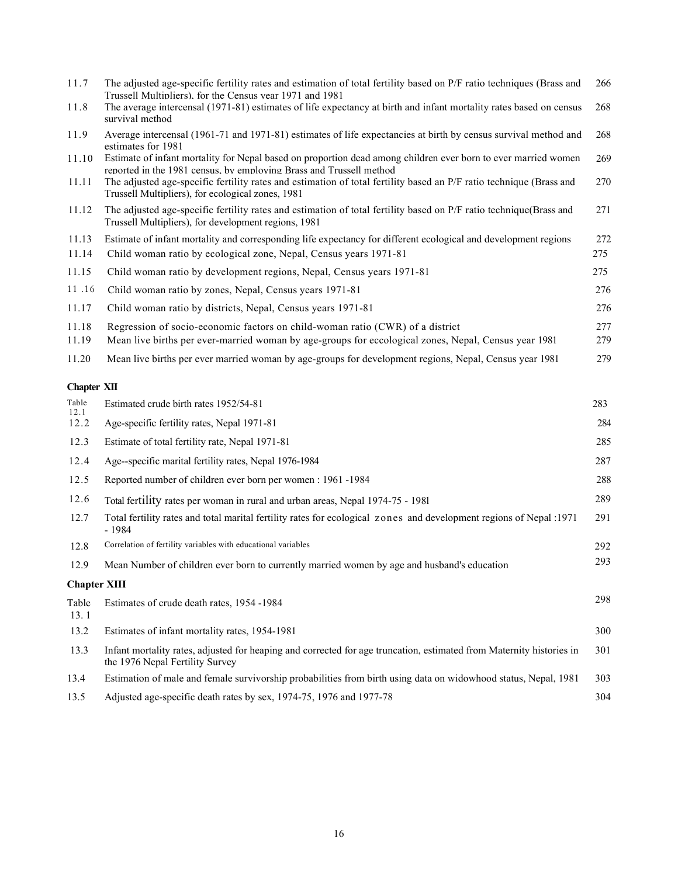| 11.7<br>11.8          | The adjusted age-specific fertility rates and estimation of total fertility based on P/F ratio techniques (Brass and<br>Trussell Multipliers), for the Census year 1971 and 1981<br>The average intercensal (1971-81) estimates of life expectancy at birth and infant mortality rates based on census<br>survival method | 266<br>268 |
|-----------------------|---------------------------------------------------------------------------------------------------------------------------------------------------------------------------------------------------------------------------------------------------------------------------------------------------------------------------|------------|
| 11.9                  | Average intercensal (1961-71 and 1971-81) estimates of life expectancies at birth by census survival method and                                                                                                                                                                                                           | 268        |
| 11.10                 | estimates for 1981<br>Estimate of infant mortality for Nepal based on proportion dead among children ever born to ever married women<br>reported in the 1981 census. by employing Brass and Trussell method                                                                                                               | 269        |
| 11.11                 | The adjusted age-specific fertility rates and estimation of total fertility based an P/F ratio technique (Brass and<br>Trussell Multipliers), for ecological zones, 1981                                                                                                                                                  | 270        |
| 11.12                 | The adjusted age-specific fertility rates and estimation of total fertility based on P/F ratio technique(Brass and<br>Trussell Multipliers), for development regions, 1981                                                                                                                                                | 271        |
| 11.13                 | Estimate of infant mortality and corresponding life expectancy for different ecological and development regions                                                                                                                                                                                                           | 272        |
| 11.14                 | Child woman ratio by ecological zone, Nepal, Census years 1971-81                                                                                                                                                                                                                                                         | 275        |
| 11.15                 | Child woman ratio by development regions, Nepal, Census years 1971-81                                                                                                                                                                                                                                                     | 275        |
| 11.16                 | Child woman ratio by zones, Nepal, Census years 1971-81                                                                                                                                                                                                                                                                   | 276        |
| 11.17                 | Child woman ratio by districts, Nepal, Census years 1971-81                                                                                                                                                                                                                                                               | 276        |
| 11.18                 | Regression of socio-economic factors on child-woman ratio (CWR) of a district                                                                                                                                                                                                                                             | 277        |
| 11.19                 | Mean live births per ever-married woman by age-groups for eccological zones, Nepal, Census year 1981                                                                                                                                                                                                                      | 279        |
| 11.20                 | Mean live births per ever married woman by age-groups for development regions, Nepal, Census year 1981                                                                                                                                                                                                                    | 279        |
| <b>Chapter XII</b>    |                                                                                                                                                                                                                                                                                                                           |            |
| ${\rm Table}$<br>12.1 | Estimated crude birth rates 1952/54-81                                                                                                                                                                                                                                                                                    | 283        |
| 12.2                  | Age-specific fertility rates, Nepal 1971-81                                                                                                                                                                                                                                                                               | 284        |
| 12.3                  | Estimate of total fertility rate, Nepal 1971-81                                                                                                                                                                                                                                                                           | 285        |
| 12.4                  | Age--specific marital fertility rates, Nepal 1976-1984                                                                                                                                                                                                                                                                    | 287        |
| 12.5                  | Reported number of children ever born per women : 1961 -1984                                                                                                                                                                                                                                                              | 288        |
| 12.6                  | Total fertility rates per woman in rural and urban areas, Nepal 1974-75 - 1981                                                                                                                                                                                                                                            | 289        |
| 12.7                  | Total fertility rates and total marital fertility rates for ecological zones and development regions of Nepal :1971<br>$-1984$                                                                                                                                                                                            | 291        |
| 12.8                  | Correlation of fertility variables with educational variables                                                                                                                                                                                                                                                             | 292        |
| 12.9                  | Mean Number of children ever born to currently married women by age and husband's education                                                                                                                                                                                                                               | 293        |
| <b>Chapter XIII</b>   |                                                                                                                                                                                                                                                                                                                           |            |
| Table<br>13.1         | Estimates of crude death rates, 1954 -1984                                                                                                                                                                                                                                                                                | 298        |
| 13.2                  | Estimates of infant mortality rates, 1954-1981                                                                                                                                                                                                                                                                            | 300        |
| 13.3                  | Infant mortality rates, adjusted for heaping and corrected for age truncation, estimated from Maternity histories in<br>the 1976 Nepal Fertility Survey                                                                                                                                                                   | 301        |
| 13.4                  | Estimation of male and female survivorship probabilities from birth using data on widowhood status, Nepal, 1981                                                                                                                                                                                                           | 303        |
| 13.5                  | Adjusted age-specific death rates by sex, 1974-75, 1976 and 1977-78                                                                                                                                                                                                                                                       | 304        |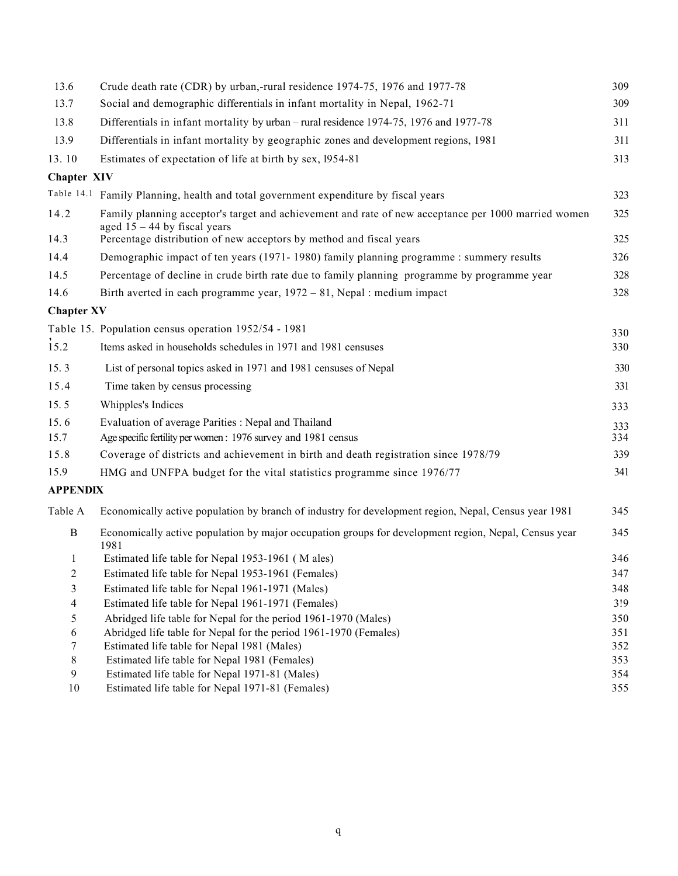| 13.6               | Crude death rate (CDR) by urban,-rural residence 1974-75, 1976 and 1977-78                                                            | 309 |
|--------------------|---------------------------------------------------------------------------------------------------------------------------------------|-----|
| 13.7               | Social and demographic differentials in infant mortality in Nepal, 1962-71                                                            | 309 |
| 13.8               | Differentials in infant mortality by urban - rural residence 1974-75, 1976 and 1977-78                                                | 311 |
| 13.9               | Differentials in infant mortality by geographic zones and development regions, 1981                                                   | 311 |
| 13.10              | Estimates of expectation of life at birth by sex, 1954-81                                                                             | 313 |
| <b>Chapter XIV</b> |                                                                                                                                       |     |
|                    | Table 14.1 Family Planning, health and total government expenditure by fiscal years                                                   | 323 |
| 14.2               | Family planning acceptor's target and achievement and rate of new acceptance per 1000 married women<br>aged $15 - 44$ by fiscal years | 325 |
| 14.3               | Percentage distribution of new acceptors by method and fiscal years                                                                   | 325 |
| 14.4               | Demographic impact of ten years (1971-1980) family planning programme : summery results                                               | 326 |
| 14.5               | Percentage of decline in crude birth rate due to family planning programme by programme year                                          | 328 |
| 14.6               | Birth averted in each programme year, $1972 - 81$ , Nepal : medium impact                                                             | 328 |
| <b>Chapter XV</b>  |                                                                                                                                       |     |
|                    | Table 15. Population census operation 1952/54 - 1981                                                                                  | 330 |
| 15.2               | Items asked in households schedules in 1971 and 1981 censuses                                                                         | 330 |
| 15.3               | List of personal topics asked in 1971 and 1981 censuses of Nepal                                                                      | 330 |
| 15.4               | Time taken by census processing                                                                                                       | 331 |
| 15.5               | Whipples's Indices                                                                                                                    | 333 |
| 15.6               | Evaluation of average Parities : Nepal and Thailand                                                                                   | 333 |
| 15.7               | Age specific fertility per women: 1976 survey and 1981 census                                                                         | 334 |
| 15.8               | Coverage of districts and achievement in birth and death registration since 1978/79                                                   | 339 |
| 15.9               | HMG and UNFPA budget for the vital statistics programme since 1976/77                                                                 | 341 |
| <b>APPENDIX</b>    |                                                                                                                                       |     |
| Table A            | Economically active population by branch of industry for development region, Nepal, Census year 1981                                  | 345 |
| $\mathbf B$        | Economically active population by major occupation groups for development region, Nepal, Census year<br>1981                          | 345 |
| 1                  | Estimated life table for Nepal 1953-1961 (M ales)                                                                                     | 346 |
| 2                  | Estimated life table for Nepal 1953-1961 (Females)                                                                                    | 347 |
| 3                  | Estimated life table for Nepal 1961-1971 (Males)                                                                                      | 348 |
| 4                  | Estimated life table for Nepal 1961-1971 (Females)                                                                                    | 3!9 |
| 5                  | Abridged life table for Nepal for the period 1961-1970 (Males)                                                                        | 350 |
| 6                  | Abridged life table for Nepal for the period 1961-1970 (Females)                                                                      | 351 |
| 7                  | Estimated life table for Nepal 1981 (Males)                                                                                           | 352 |
| 8                  | Estimated life table for Nepal 1981 (Females)                                                                                         | 353 |
| 9                  | Estimated life table for Nepal 1971-81 (Males)                                                                                        | 354 |
| 10                 | Estimated life table for Nepal 1971-81 (Females)                                                                                      | 355 |